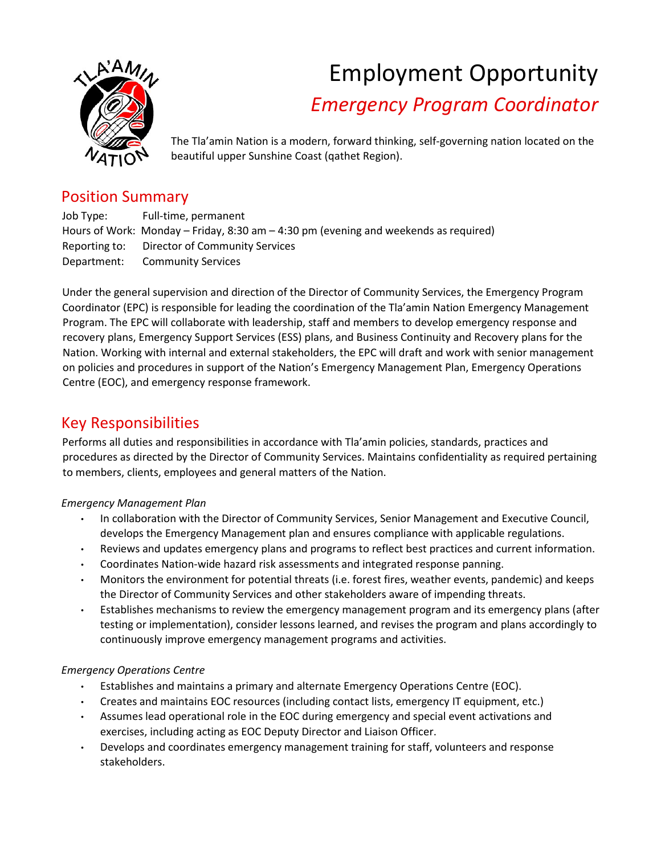

# Employment Opportunity *Emergency Program Coordinator*

The Tla'amin Nation is a modern, forward thinking, self-governing nation located on the beautiful upper Sunshine Coast (qathet Region).

## Position Summary

Job Type: Full-time, permanent Hours of Work: Monday – Friday, 8:30 am – 4:30 pm (evening and weekends as required) Reporting to: Director of Community Services Department: Community Services

Under the general supervision and direction of the Director of Community Services, the Emergency Program Coordinator (EPC) is responsible for leading the coordination of the Tla'amin Nation Emergency Management Program. The EPC will collaborate with leadership, staff and members to develop emergency response and recovery plans, Emergency Support Services (ESS) plans, and Business Continuity and Recovery plans for the Nation. Working with internal and external stakeholders, the EPC will draft and work with senior management on policies and procedures in support of the Nation's Emergency Management Plan, Emergency Operations Centre (EOC), and emergency response framework.

## Key Responsibilities

Performs all duties and responsibilities in accordance with Tla'amin policies, standards, practices and procedures as directed by the Director of Community Services. Maintains confidentiality as required pertaining to members, clients, employees and general matters of the Nation.

#### *Emergency Management Plan*

- In collaboration with the Director of Community Services, Senior Management and Executive Council, develops the Emergency Management plan and ensures compliance with applicable regulations.
- Reviews and updates emergency plans and programs to reflect best practices and current information.
- Coordinates Nation-wide hazard risk assessments and integrated response panning.
- Monitors the environment for potential threats (i.e. forest fires, weather events, pandemic) and keeps the Director of Community Services and other stakeholders aware of impending threats.
- Establishes mechanisms to review the emergency management program and its emergency plans (after testing or implementation), consider lessons learned, and revises the program and plans accordingly to continuously improve emergency management programs and activities.

### *Emergency Operations Centre*

- Establishes and maintains a primary and alternate Emergency Operations Centre (EOC).
- Creates and maintains EOC resources (including contact lists, emergency IT equipment, etc.)
- Assumes lead operational role in the EOC during emergency and special event activations and exercises, including acting as EOC Deputy Director and Liaison Officer.
- Develops and coordinates emergency management training for staff, volunteers and response stakeholders.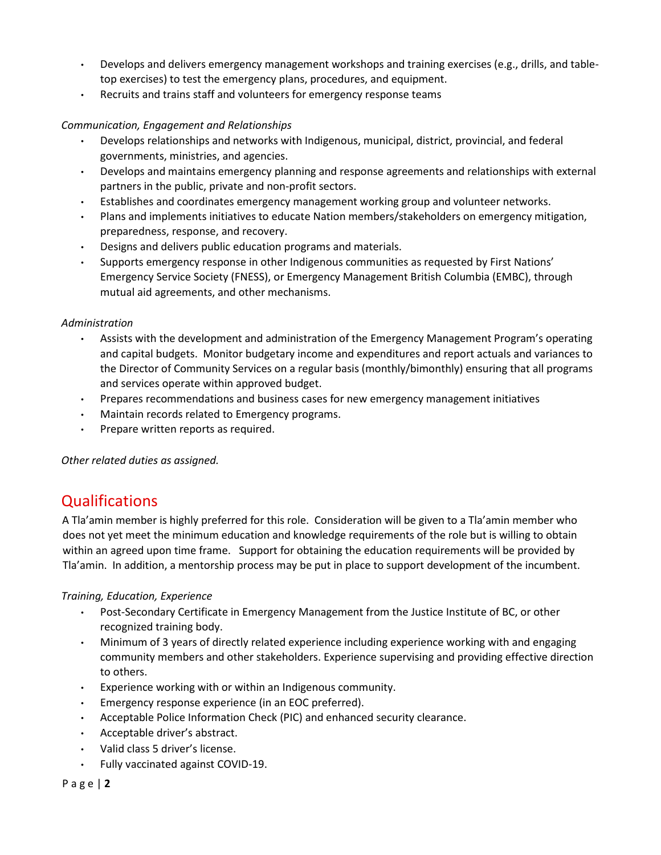- Develops and delivers emergency management workshops and training exercises (e.g., drills, and tabletop exercises) to test the emergency plans, procedures, and equipment.
- Recruits and trains staff and volunteers for emergency response teams

#### *Communication, Engagement and Relationships*

- Develops relationships and networks with Indigenous, municipal, district, provincial, and federal governments, ministries, and agencies.
- Develops and maintains emergency planning and response agreements and relationships with external partners in the public, private and non-profit sectors.
- Establishes and coordinates emergency management working group and volunteer networks.
- Plans and implements initiatives to educate Nation members/stakeholders on emergency mitigation, preparedness, response, and recovery.
- Designs and delivers public education programs and materials.
- Supports emergency response in other Indigenous communities as requested by First Nations' Emergency Service Society (FNESS), or Emergency Management British Columbia (EMBC), through mutual aid agreements, and other mechanisms.

#### *Administration*

- Assists with the development and administration of the Emergency Management Program's operating and capital budgets. Monitor budgetary income and expenditures and report actuals and variances to the Director of Community Services on a regular basis (monthly/bimonthly) ensuring that all programs and services operate within approved budget.
- Prepares recommendations and business cases for new emergency management initiatives
- Maintain records related to Emergency programs.
- Prepare written reports as required.

#### *Other related duties as assigned.*

## Qualifications

A Tla'amin member is highly preferred for this role. Consideration will be given to a Tla'amin member who does not yet meet the minimum education and knowledge requirements of the role but is willing to obtain within an agreed upon time frame. Support for obtaining the education requirements will be provided by Tla'amin. In addition, a mentorship process may be put in place to support development of the incumbent.

#### *Training, Education, Experience*

- Post-Secondary Certificate in Emergency Management from the Justice Institute of BC, or other recognized training body.
- Minimum of 3 years of directly related experience including experience working with and engaging community members and other stakeholders. Experience supervising and providing effective direction to others.
- Experience working with or within an Indigenous community.
- Emergency response experience (in an EOC preferred).
- Acceptable Police Information Check (PIC) and enhanced security clearance.
- Acceptable driver's abstract.
- Valid class 5 driver's license.
- Fully vaccinated against COVID-19.